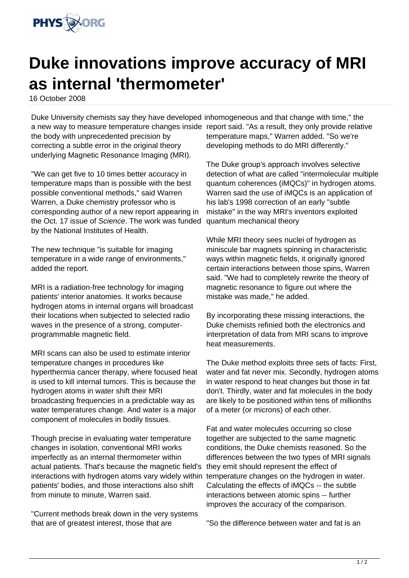

## **Duke innovations improve accuracy of MRI as internal 'thermometer'**

16 October 2008

Duke University chemists say they have developed inhomogeneous and that change with time," the a new way to measure temperature changes inside report said. "As a result, they only provide relative the body with unprecedented precision by correcting a subtle error in the original theory underlying Magnetic Resonance Imaging (MRI).

"We can get five to 10 times better accuracy in temperature maps than is possible with the best possible conventional methods," said Warren Warren, a Duke chemistry professor who is corresponding author of a new report appearing in the Oct. 17 issue of Science. The work was funded by the National Institutes of Health.

The new technique "is suitable for imaging temperature in a wide range of environments," added the report.

MRI is a radiation-free technology for imaging patients' interior anatomies. It works because hydrogen atoms in internal organs will broadcast their locations when subjected to selected radio waves in the presence of a strong, computerprogrammable magnetic field.

MRI scans can also be used to estimate interior temperature changes in procedures like hyperthermia cancer therapy, where focused heat is used to kill internal tumors. This is because the hydrogen atoms in water shift their MRI broadcasting frequencies in a predictable way as water temperatures change. And water is a major component of molecules in bodily tissues.

Though precise in evaluating water temperature changes in isolation, conventional MRI works imperfectly as an internal thermometer within actual patients. That's because the magnetic field's they emit should represent the effect of interactions with hydrogen atoms vary widely within temperature changes on the hydrogen in water. patients' bodies, and those interactions also shift from minute to minute, Warren said.

"Current methods break down in the very systems that are of greatest interest, those that are

temperature maps," Warren added. "So we're developing methods to do MRI differently."

The Duke group's approach involves selective detection of what are called "intermolecular multiple quantum coherences (iMQCs)" in hydrogen atoms. Warren said the use of iMQCs is an application of his lab's 1998 correction of an early "subtle mistake" in the way MRI's inventors exploited quantum mechanical theory

While MRI theory sees nuclei of hydrogen as miniscule bar magnets spinning in characteristic ways within magnetic fields, it originally ignored certain interactions between those spins, Warren said. "We had to completely rewrite the theory of magnetic resonance to figure out where the mistake was made," he added.

By incorporating these missing interactions, the Duke chemists refinied both the electronics and interpretation of data from MRI scans to improve heat measurements.

The Duke method exploits three sets of facts: First, water and fat never mix. Secondly, hydrogen atoms in water respond to heat changes but those in fat don't. Thirdly, water and fat molecules in the body are likely to be positioned within tens of millionths of a meter (or microns) of each other.

Fat and water molecules occurring so close together are subjected to the same magnetic conditions, the Duke chemists reasoned. So the differences between the two types of MRI signals Calculating the effects of iMQCs -- the subtle interactions between atomic spins -- further improves the accuracy of the comparison.

"So the difference between water and fat is an